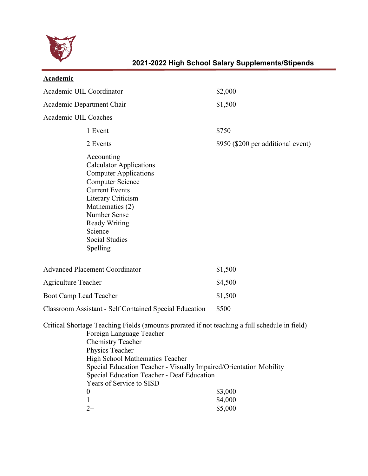

## **2021-2022 High School Salary Supplements/Stipends**

| <b>Academic</b>                                                                                                                                                                                                                                                                                                                                                                      |                                    |
|--------------------------------------------------------------------------------------------------------------------------------------------------------------------------------------------------------------------------------------------------------------------------------------------------------------------------------------------------------------------------------------|------------------------------------|
| Academic UIL Coordinator                                                                                                                                                                                                                                                                                                                                                             | \$2,000                            |
| Academic Department Chair                                                                                                                                                                                                                                                                                                                                                            | \$1,500                            |
| Academic UIL Coaches                                                                                                                                                                                                                                                                                                                                                                 |                                    |
| 1 Event                                                                                                                                                                                                                                                                                                                                                                              | \$750                              |
| 2 Events                                                                                                                                                                                                                                                                                                                                                                             | \$950 (\$200 per additional event) |
| Accounting<br><b>Calculator Applications</b><br><b>Computer Applications</b><br><b>Computer Science</b><br><b>Current Events</b><br>Literary Criticism<br>Mathematics (2)<br>Number Sense<br><b>Ready Writing</b><br>Science<br><b>Social Studies</b><br>Spelling                                                                                                                    |                                    |
| <b>Advanced Placement Coordinator</b>                                                                                                                                                                                                                                                                                                                                                | \$1,500                            |
| <b>Agriculture Teacher</b>                                                                                                                                                                                                                                                                                                                                                           | \$4,500                            |
| Boot Camp Lead Teacher                                                                                                                                                                                                                                                                                                                                                               | \$1,500                            |
| <b>Classroom Assistant - Self Contained Special Education</b>                                                                                                                                                                                                                                                                                                                        | \$500                              |
| Critical Shortage Teaching Fields (amounts prorated if not teaching a full schedule in field)<br>Foreign Language Teacher<br><b>Chemistry Teacher</b><br>Physics Teacher<br>High School Mathematics Teacher<br>Special Education Teacher - Visually Impaired/Orientation Mobility<br>Special Education Teacher - Deaf Education<br>Years of Service to SISD<br>$\theta$<br>1<br>$2+$ | \$3,000<br>\$4,000<br>\$5,000      |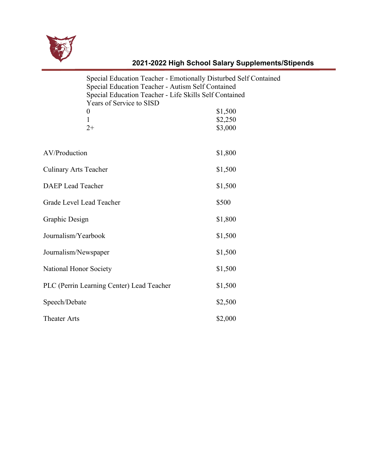

## **2021-2022 High School Salary Supplements/Stipends**

|                                           | Special Education Teacher - Emotionally Disturbed Self Contained                                            |         |  |
|-------------------------------------------|-------------------------------------------------------------------------------------------------------------|---------|--|
|                                           | Special Education Teacher - Autism Self Contained<br>Special Education Teacher - Life Skills Self Contained |         |  |
|                                           | Years of Service to SISD                                                                                    |         |  |
|                                           | $\overline{0}$                                                                                              | \$1,500 |  |
|                                           | 1                                                                                                           | \$2,250 |  |
|                                           | $2+$                                                                                                        | \$3,000 |  |
|                                           |                                                                                                             |         |  |
| AV/Production                             |                                                                                                             | \$1,800 |  |
| <b>Culinary Arts Teacher</b>              |                                                                                                             | \$1,500 |  |
| <b>DAEP</b> Lead Teacher                  |                                                                                                             | \$1,500 |  |
| Grade Level Lead Teacher                  |                                                                                                             | \$500   |  |
| Graphic Design                            |                                                                                                             | \$1,800 |  |
| Journalism/Yearbook                       |                                                                                                             | \$1,500 |  |
| Journalism/Newspaper                      |                                                                                                             | \$1,500 |  |
| National Honor Society                    |                                                                                                             | \$1,500 |  |
| PLC (Perrin Learning Center) Lead Teacher |                                                                                                             | \$1,500 |  |
| Speech/Debate                             |                                                                                                             | \$2,500 |  |
| <b>Theater Arts</b>                       |                                                                                                             | \$2,000 |  |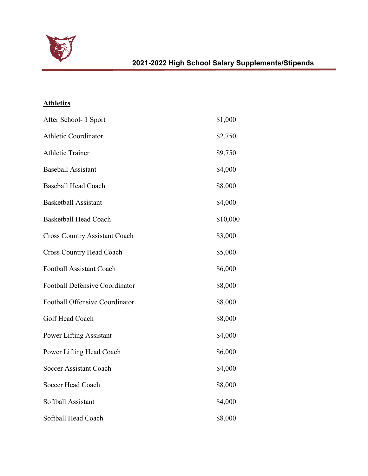

## **Athletics**

| After School- 1 Sport                 | \$1,000  |
|---------------------------------------|----------|
| <b>Athletic Coordinator</b>           | \$2,750  |
| <b>Athletic Trainer</b>               | \$9,750  |
| <b>Baseball Assistant</b>             | \$4,000  |
| <b>Baseball Head Coach</b>            | \$8,000  |
| <b>Basketball Assistant</b>           | \$4,000  |
| <b>Basketball Head Coach</b>          | \$10,000 |
| <b>Cross Country Assistant Coach</b>  | \$3,000  |
| <b>Cross Country Head Coach</b>       | \$5,000  |
| <b>Football Assistant Coach</b>       | \$6,000  |
| <b>Football Defensive Coordinator</b> | \$8,000  |
| Football Offensive Coordinator        | \$8,000  |
| Golf Head Coach                       | \$8,000  |
| <b>Power Lifting Assistant</b>        | \$4,000  |
| Power Lifting Head Coach              | \$6,000  |
| Soccer Assistant Coach                | \$4,000  |
| Soccer Head Coach                     | \$8,000  |
| Softball Assistant                    | \$4,000  |
| Softball Head Coach                   | \$8,000  |